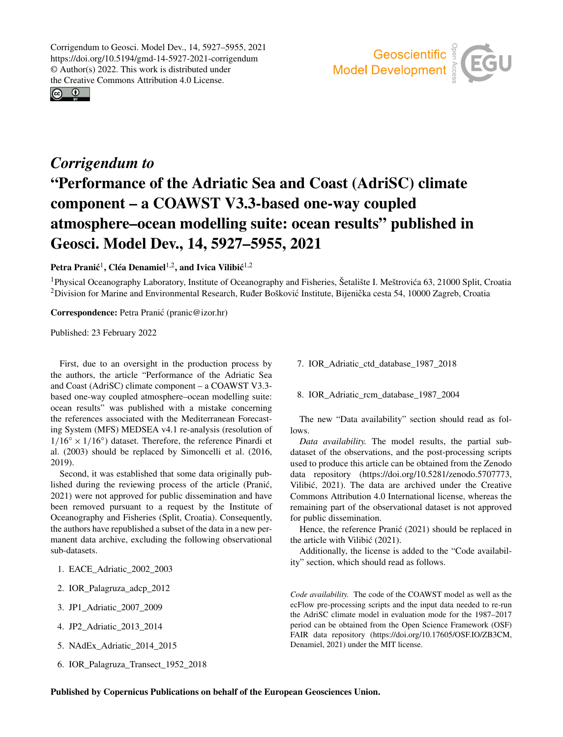Corrigendum to Geosci. Model Dev., 14, 5927–5955, 2021 https://doi.org/10.5194/gmd-14-5927-2021-corrigendum © Author(s) 2022. This work is distributed under the Creative Commons Attribution 4.0 License.

 $\circ$   $\circ$ 



## *Corrigendum to* "Performance of the Adriatic Sea and Coast (AdriSC) climate component – a COAWST V3.3-based one-way coupled atmosphere–ocean modelling suite: ocean results" published in Geosci. Model Dev., 14, 5927–5955, 2021

## Petra Pranić<sup>[1](#page-0-0)</sup>, Cléa Denamiel<sup>[1,2](#page-0-0)</sup>, and Ivica Vilibić<sup>1,2</sup>

<sup>1</sup>Physical Oceanography Laboratory, Institute of Oceanography and Fisheries, Šetalište I. Meštrovica 63, 21000 Split, Croatia ´  $2$ Division for Marine and Environmental Research, Ruđer Bošković Institute, Bijenička cesta 54, 10000 Zagreb, Croatia

Correspondence: Petra Pranic (pranic@izor.hr) ´

Published: 23 February 2022

<span id="page-0-0"></span>First, due to an oversight in the production process by the authors, the article "Performance of the Adriatic Sea and Coast (AdriSC) climate component – a COAWST V3.3 based one-way coupled atmosphere–ocean modelling suite: ocean results" was published with a mistake concerning the references associated with the Mediterranean Forecasting System (MFS) MEDSEA v4.1 re-analysis (resolution of  $1/16° \times 1/16°$ ) dataset. Therefore, the reference Pinardi et al. (2003) should be replaced by Simoncelli et al. (2016, 2019).

Second, it was established that some data originally published during the reviewing process of the article (Pranić, 2021) were not approved for public dissemination and have been removed pursuant to a request by the Institute of Oceanography and Fisheries (Split, Croatia). Consequently, the authors have republished a subset of the data in a new permanent data archive, excluding the following observational sub-datasets.

- 1. EACE\_Adriatic\_2002\_2003
- 2. IOR\_Palagruza\_adcp\_2012
- 3. JP1\_Adriatic\_2007\_2009
- 4. JP2\_Adriatic\_2013\_2014
- 5. NAdEx\_Adriatic\_2014\_2015
- 6. IOR\_Palagruza\_Transect\_1952\_2018

7. IOR\_Adriatic\_ctd\_database\_1987\_2018

8. IOR\_Adriatic\_rcm\_database\_1987\_2004

The new "Data availability" section should read as follows.

*Data availability.* The model results, the partial subdataset of the observations, and the post-processing scripts used to produce this article can be obtained from the Zenodo data repository (https://doi.org[/10.5281/zenodo.5707773,](https://doi.org/10.5281/zenodo.5707773) Vilibic, 2021). The data are archived under the Creative ´ Commons Attribution 4.0 International license, whereas the remaining part of the observational dataset is not approved for public dissemination.

Hence, the reference Pranic (2021) should be replaced in the article with Vilibić (2021).

Additionally, the license is added to the "Code availability" section, which should read as follows.

*Code availability.* The code of the COAWST model as well as the ecFlow pre-processing scripts and the input data needed to re-run the AdriSC climate model in evaluation mode for the 1987–2017 period can be obtained from the Open Science Framework (OSF) FAIR data repository (https://doi.org[/10.17605/OSF.IO/ZB3CM,](https://doi.org/10.17605/OSF.IO/ZB3CM) Denamiel, 2021) under the MIT license.